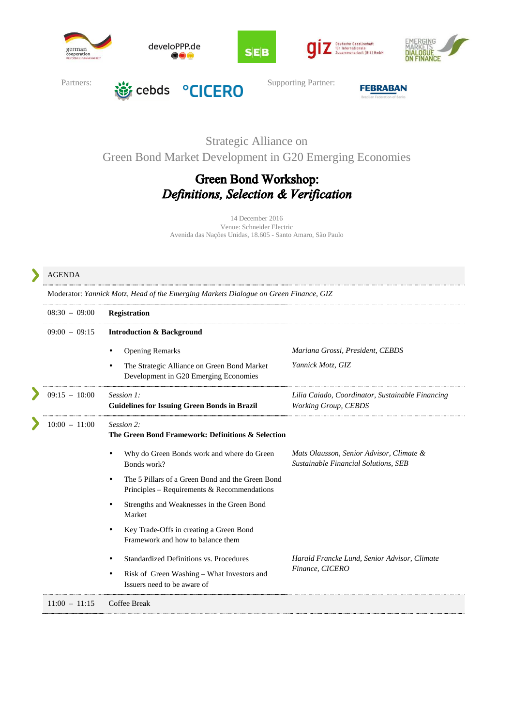







AGENDA



develoPPP.de



### Strategic Alliance on

Green Bond Market Development in G20 Emerging Economies

# Green Bond Workshop: Definitions, Selection & Verification

14 December 2016 Venue: Schneider Electric Avenida das Nações Unidas, 18.605 - Santo Amaro, São Paulo

#### Moderator: *Yannick Motz, Head of the Emerging Markets Dialogue on Green Finance, GIZ* 08:30 – 09:00 **Registration**  09:00 – 09:15 **Introduction & Background**  *Mariana Grossi, President, CEBDS*  • Opening Remarks • The Strategic Alliance on Green Bond Market *Yannick Motz, GIZ*  Development in G20 Emerging Economies 09:15 – 10:00 *Session 1: Lilia Caiado, Coordinator, Sustainable Financing*  **Guidelines for Issuing Green Bonds in Brazil** *Working Group, CEBDS*  10:00 – 11:00 *Session 2:* **The Green Bond Framework: Definitions & Selection** *Mats Olausson, Senior Advisor, Climate &*  • Why do Green Bonds work and where do Green *Sustainable Financial Solutions, SEB*  Bonds work? The 5 Pillars of a Green Bond and the Green Bond Principles – Requirements & Recommendations • Strengths and Weaknesses in the Green Bond Market • Key Trade-Offs in creating a Green Bond Framework and how to balance them *Harald Francke Lund, Senior Advisor, Climate*  • Standardized Definitions vs. Procedures *Finance, CICERO*  • Risk of Green Washing – What Investors and Issuers need to be aware of 11:00 – 11:15 Coffee Break Ï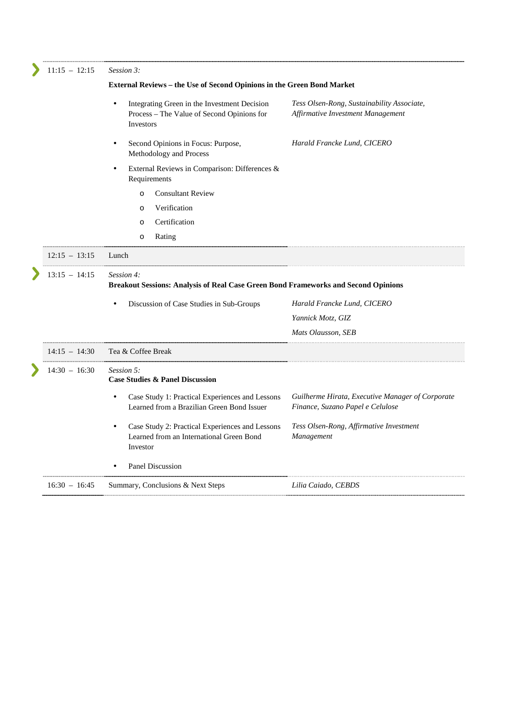| $11:15 - 12:15$ | Session 3:                                                                                                   |                                                                                        |
|-----------------|--------------------------------------------------------------------------------------------------------------|----------------------------------------------------------------------------------------|
|                 | External Reviews - the Use of Second Opinions in the Green Bond Market                                       |                                                                                        |
|                 | Integrating Green in the Investment Decision<br>Process - The Value of Second Opinions for<br>Investors      | Tess Olsen-Rong, Sustainability Associate,<br><b>Affirmative Investment Management</b> |
|                 | Second Opinions in Focus: Purpose,<br>Methodology and Process                                                | Harald Francke Lund, CICERO                                                            |
|                 | External Reviews in Comparison: Differences &<br>Requirements                                                |                                                                                        |
|                 | <b>Consultant Review</b><br>$\Omega$                                                                         |                                                                                        |
|                 | Verification<br>$\circ$                                                                                      |                                                                                        |
|                 | Certification<br>$\circ$                                                                                     |                                                                                        |
|                 | Rating<br>O                                                                                                  |                                                                                        |
| $12:15 - 13:15$ | Lunch                                                                                                        |                                                                                        |
| $13:15 - 14:15$ | Session 4:<br>Breakout Sessions: Analysis of Real Case Green Bond Frameworks and Second Opinions             |                                                                                        |
|                 | Discussion of Case Studies in Sub-Groups                                                                     | Harald Francke Lund, CICERO                                                            |
|                 |                                                                                                              | Yannick Motz, GIZ                                                                      |
|                 |                                                                                                              | Mats Olausson, SEB                                                                     |
| $14:15 - 14:30$ | Tea & Coffee Break                                                                                           |                                                                                        |
| $14:30 - 16:30$ | Session 5:<br><b>Case Studies &amp; Panel Discussion</b>                                                     |                                                                                        |
|                 | Case Study 1: Practical Experiences and Lessons<br>$\bullet$<br>Learned from a Brazilian Green Bond Issuer   | Guilherme Hirata, Executive Manager of Corporate<br>Finance, Suzano Papel e Celulose   |
|                 | Case Study 2: Practical Experiences and Lessons<br>٠<br>Learned from an International Green Bond<br>Investor | Tess Olsen-Rong, Affirmative Investment<br>Management                                  |
|                 | <b>Panel Discussion</b>                                                                                      |                                                                                        |
|                 |                                                                                                              |                                                                                        |
|                 |                                                                                                              |                                                                                        |